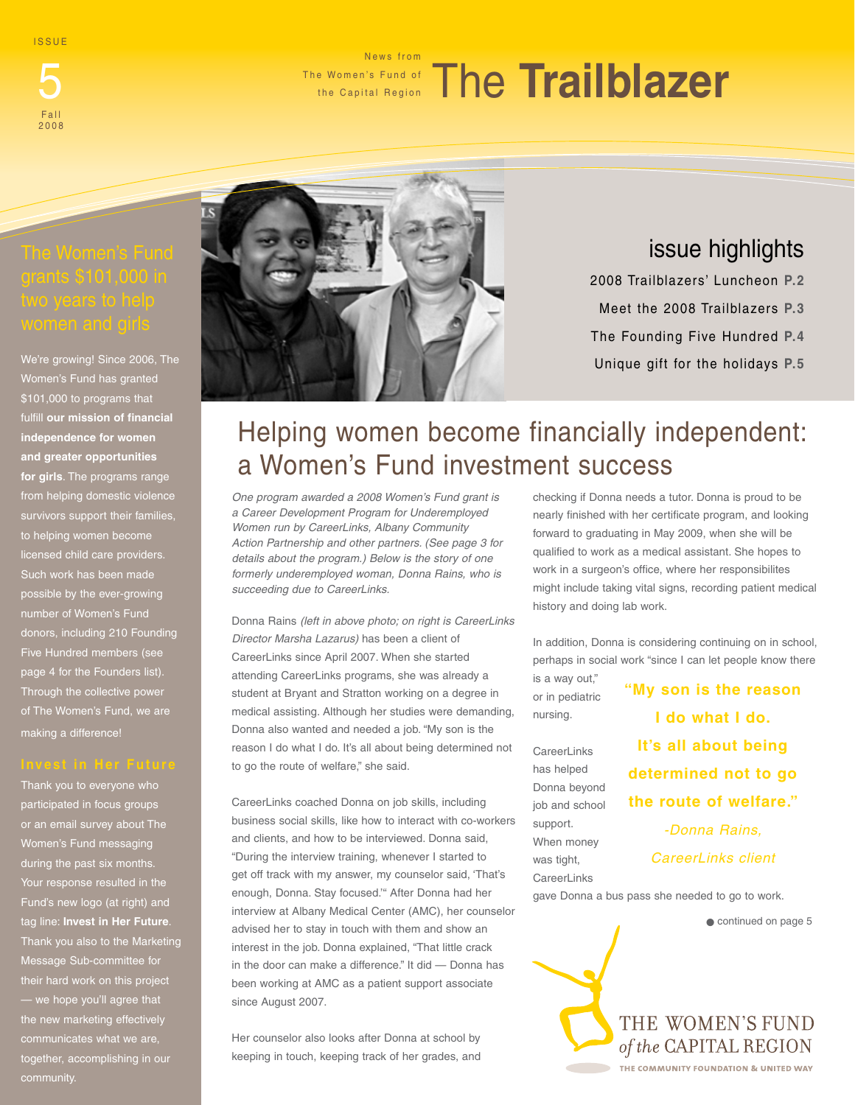ISSUE

Fall 2008

### 5 The Women's Fund of The Trailblazer News from the Capital Region

We're growing! Since 2006, The Women's Fund has granted \$101,000 to programs that fulfill **our mission of financial independence for women and greater opportunities for girls**. The programs range from helping domestic violence survivors support their families, to helping women become licensed child care providers. Such work has been made possible by the ever-growing number of Women's Fund donors, including 210 Founding Five Hundred members (see page 4 for the Founders list). Through the collective power of The Women's Fund, we are making a difference!

Thank you to everyone who participated in focus groups or an email survey about The Women's Fund messaging during the past six months. Your response resulted in the Fund's new logo (at right) and tag line: **Invest in Her Future**. Thank you also to the Marketing Message Sub-committee for their hard work on this project — we hope you'll agree that the new marketing effectively together, accomplishing in our community.



# issue highlights

2008 Trailblazers' Luncheon **P.2** Meet the 2008 Trailblazers **P.3** The Founding Five Hundred **P.4** Unique gift for the holidays **P.5**

# Helping women become financially independent: a Women's Fund investment success

*One program awarded a 2008 Women's Fund grant is a Career Development Program for Underemployed Women run by CareerLinks, Albany Community Action Partnership and other partners. (See page 3 for details about the program.) Below is the story of one formerly underemployed woman, Donna Rains, who is succeeding due to CareerLinks.*

Donna Rains *(left in above photo; on right is CareerLinks Director Marsha Lazarus)* has been a client of CareerLinks since April 2007. When she started attending CareerLinks programs, she was already a student at Bryant and Stratton working on a degree in medical assisting. Although her studies were demanding, Donna also wanted and needed a job. "My son is the reason I do what I do. It's all about being determined not to go the route of welfare," she said.

CareerLinks coached Donna on job skills, including business social skills, like how to interact with co-workers and clients, and how to be interviewed. Donna said, "During the interview training, whenever I started to get off track with my answer, my counselor said, 'That's enough, Donna. Stay focused.'" After Donna had her interview at Albany Medical Center (AMC), her counselor advised her to stay in touch with them and show an interest in the job. Donna explained, "That little crack in the door can make a difference." It did — Donna has been working at AMC as a patient support associate since August 2007.

Her counselor also looks after Donna at school by keeping in touch, keeping track of her grades, and checking if Donna needs a tutor. Donna is proud to be nearly finished with her certificate program, and looking forward to graduating in May 2009, when she will be qualified to work as a medical assistant. She hopes to work in a surgeon's office, where her responsibilites might include taking vital signs, recording patient medical history and doing lab work.

In addition, Donna is considering continuing on in school, perhaps in social work "since I can let people know there

is a way out," or in pediatric nursing.

**CareerLinks** has helped Donna beyond job and school support. When money was tight, **CareerLinks** 

**"My son is the reason I do what I do. It's all about being determined not to go the route of welfare."** 

> *-Donna Rains, CareerLinks client*

gave Donna a bus pass she needed to go to work.

 $\bullet$  continued on page 5

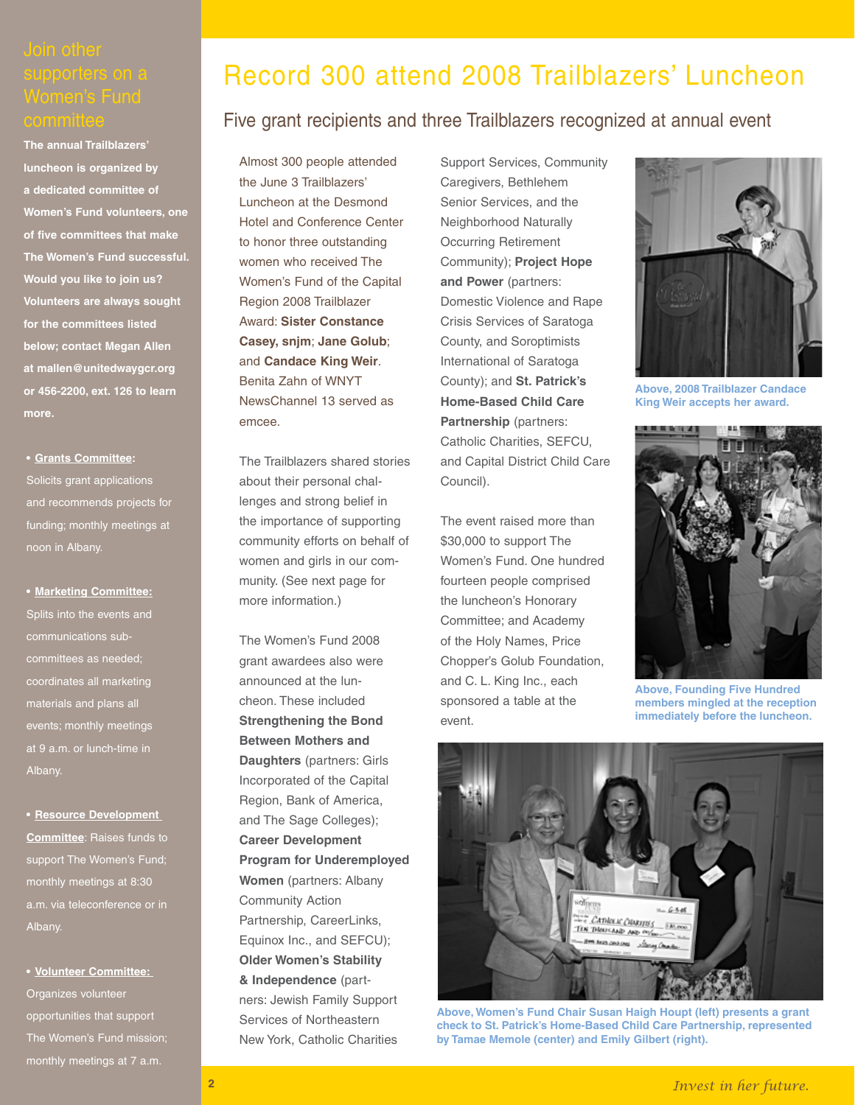**The annual Trailblazers' luncheon is organized by a dedicated committee of Women's Fund volunteers, one of five committees that make The Women's Fund successful. Would you like to join us? Volunteers are always sought for the committees listed below; contact Megan Allen at mallen@unitedwaygcr.org or 456-2200, ext. 126 to learn more.**

### **• Grants Committee:**

Solicits grant applications and recommends projects for funding; monthly meetings at noon in Albany.

**• Marketing Committee:**

Splits into the events and communications subcommittees as needed; coordinates all marketing materials and plans all events; monthly meetings at 9 a.m. or lunch-time in Albany.

**• Resource Development Committee**: Raises funds to support The Women's Fund; monthly meetings at 8:30 a.m. via teleconference or in Albany.

**• Volunteer Committee:**  Organizes volunteer opportunities that support The Women's Fund mission; monthly meetings at 7 a.m.

# Record 300 attend 2008 Trailblazers' Luncheon

### Five grant recipients and three Trailblazers recognized at annual event

Almost 300 people attended the June 3 Trailblazers' Luncheon at the Desmond Hotel and Conference Center to honor three outstanding women who received The Women's Fund of the Capital Region 2008 Trailblazer Award: **Sister Constance Casey, snjm**; **Jane Golub**; and **Candace King Weir**. Benita Zahn of WNYT NewsChannel 13 served as emcee.

The Trailblazers shared stories about their personal challenges and strong belief in the importance of supporting community efforts on behalf of women and girls in our community. (See next page for more information.)

The Women's Fund 2008 grant awardees also were announced at the luncheon. These included **Strengthening the Bond Between Mothers and Daughters** (partners: Girls Incorporated of the Capital Region, Bank of America, and The Sage Colleges); **Career Development Program for Underemployed Women** (partners: Albany Community Action Partnership, CareerLinks, Equinox Inc., and SEFCU); **Older Women's Stability & Independence** (partners: Jewish Family Support Services of Northeastern New York, Catholic Charities

Support Services, Community Caregivers, Bethlehem Senior Services, and the Neighborhood Naturally Occurring Retirement Community); **Project Hope and Power** (partners: Domestic Violence and Rape Crisis Services of Saratoga County, and Soroptimists International of Saratoga County); and **St. Patrick's Home-Based Child Care Partnership** (partners: Catholic Charities, SEFCU, and Capital District Child Care Council).

The event raised more than \$30,000 to support The Women's Fund. One hundred fourteen people comprised the luncheon's Honorary Committee; and Academy of the Holy Names, Price Chopper's Golub Foundation, and C. L. King Inc., each sponsored a table at the event.



**Above, 2008 Trailblazer Candace King Weir accepts her award.** 



**Above, Founding Five Hundred members mingled at the reception immediately before the luncheon.**



**Above, Women's Fund Chair Susan Haigh Houpt (left) presents a grant check to St. Patrick's Home-Based Child Care Partnership, represented by Tamae Memole (center) and Emily Gilbert (right).**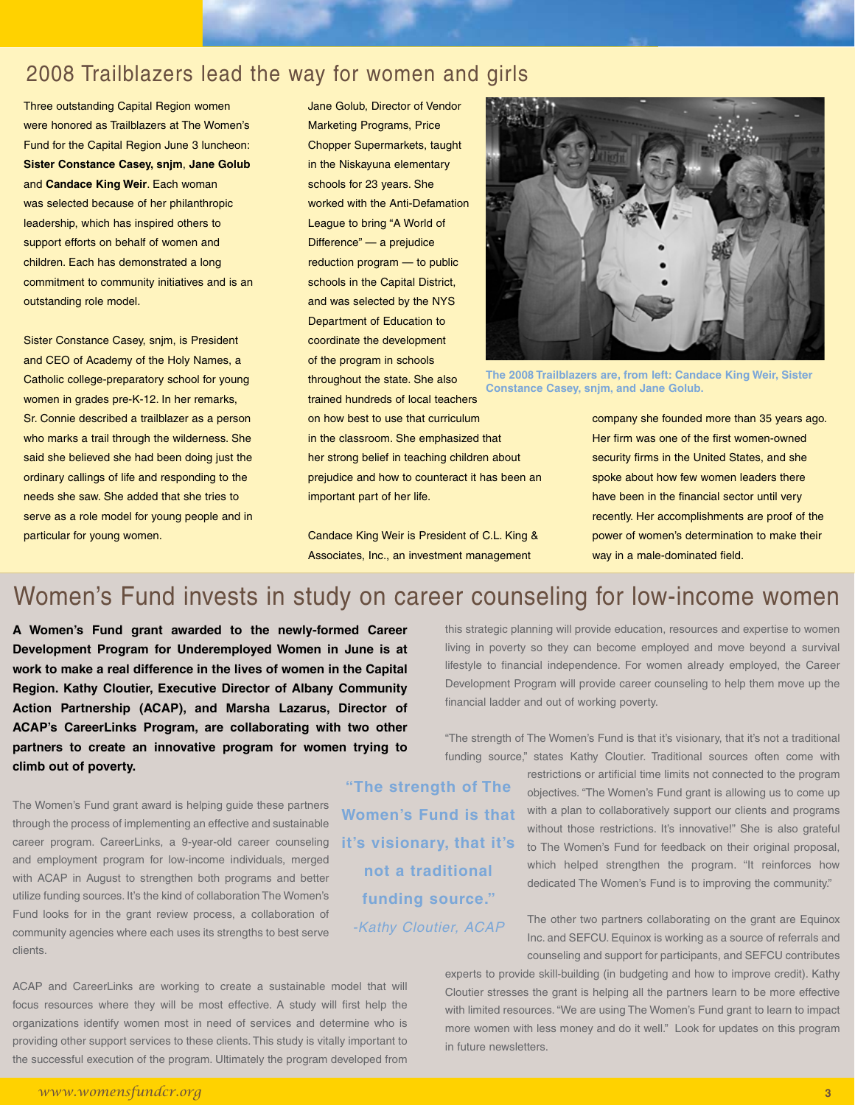## 2008 Trailblazers lead the way for women and girls

Three outstanding Capital Region women were honored as Trailblazers at The Women's Fund for the Capital Region June 3 luncheon: **Sister Constance Casey, snjm**, **Jane Golub** and **Candace King Weir**. Each woman was selected because of her philanthropic leadership, which has inspired others to support efforts on behalf of women and children. Each has demonstrated a long commitment to community initiatives and is an outstanding role model.

Sister Constance Casey, snjm, is President and CEO of Academy of the Holy Names, a Catholic college-preparatory school for young women in grades pre-K-12. In her remarks, Sr. Connie described a trailblazer as a person who marks a trail through the wilderness. She said she believed she had been doing just the ordinary callings of life and responding to the needs she saw. She added that she tries to serve as a role model for young people and in particular for young women.

Jane Golub, Director of Vendor Marketing Programs, Price Chopper Supermarkets, taught in the Niskayuna elementary schools for 23 years. She worked with the Anti-Defamation League to bring "A World of Difference" — a prejudice reduction program — to public schools in the Capital District, and was selected by the NYS Department of Education to coordinate the development of the program in schools throughout the state. She also trained hundreds of local teachers on how best to use that curriculum in the classroom. She emphasized that her strong belief in teaching children about prejudice and how to counteract it has been an important part of her life.

Candace King Weir is President of C.L. King & Associates, Inc., an investment management



**The 2008 Trailblazers are, from left: Candace King Weir, Sister Constance Casey, snjm, and Jane Golub.**

company she founded more than 35 years ago. Her firm was one of the first women-owned security firms in the United States, and she spoke about how few women leaders there have been in the financial sector until very recently. Her accomplishments are proof of the power of women's determination to make their way in a male-dominated field.

# Women's Fund invests in study on career counseling for low-income women

**"The strength of The Women's Fund is that** 

**it's visionary, that it's not a traditional funding source."** 

*-Kathy Cloutier, ACAP*

**A Women's Fund grant awarded to the newly-formed Career Development Program for Underemployed Women in June is at work to make a real difference in the lives of women in the Capital Region. Kathy Cloutier, Executive Director of Albany Community Action Partnership (ACAP), and Marsha Lazarus, Director of ACAP's CareerLinks Program, are collaborating with two other partners to create an innovative program for women trying to climb out of poverty.** 

The Women's Fund grant award is helping guide these partners through the process of implementing an effective and sustainable career program. CareerLinks, a 9-year-old career counseling and employment program for low-income individuals, merged with ACAP in August to strengthen both programs and better utilize funding sources. It's the kind of collaboration The Women's Fund looks for in the grant review process, a collaboration of community agencies where each uses its strengths to best serve clients.

ACAP and CareerLinks are working to create a sustainable model that will focus resources where they will be most effective. A study will first help the organizations identify women most in need of services and determine who is providing other support services to these clients. This study is vitally important to the successful execution of the program. Ultimately the program developed from

this strategic planning will provide education, resources and expertise to women living in poverty so they can become employed and move beyond a survival lifestyle to financial independence. For women already employed, the Career Development Program will provide career counseling to help them move up the financial ladder and out of working poverty.

"The strength of The Women's Fund is that it's visionary, that it's not a traditional funding source," states Kathy Cloutier. Traditional sources often come with

> restrictions or artificial time limits not connected to the program objectives. "The Women's Fund grant is allowing us to come up with a plan to collaboratively support our clients and programs without those restrictions. It's innovative!" She is also grateful to The Women's Fund for feedback on their original proposal, which helped strengthen the program. "It reinforces how dedicated The Women's Fund is to improving the community."

> The other two partners collaborating on the grant are Equinox Inc. and SEFCU. Equinox is working as a source of referrals and counseling and support for participants, and SEFCU contributes

experts to provide skill-building (in budgeting and how to improve credit). Kathy Cloutier stresses the grant is helping all the partners learn to be more effective with limited resources. "We are using The Women's Fund grant to learn to impact more women with less money and do it well." Look for updates on this program in future newsletters.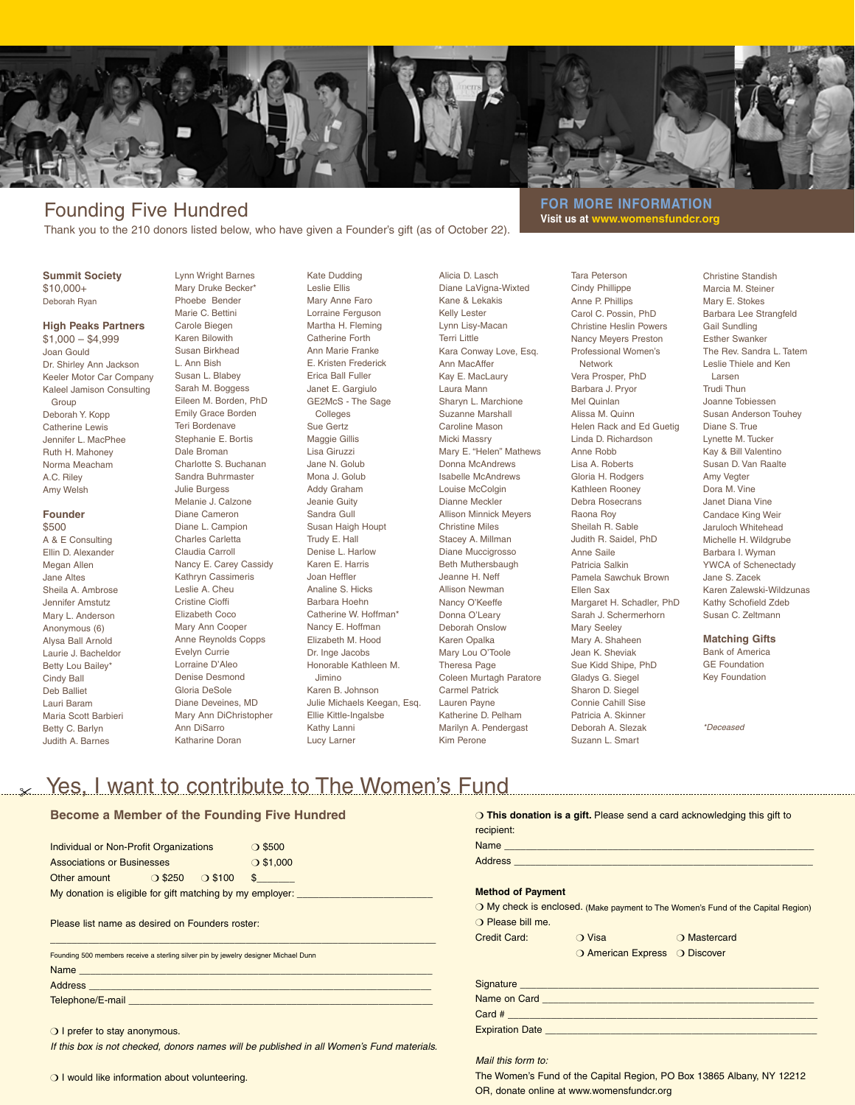

# Founding Five Hundred

Thank you to the 210 donors listed below, who have given a Founder's gift (as of October 22).

#### **Summit Society** \$10,000+ Deborah Ryan

#### **High Peaks Partners**

\$1,000 – \$4,999 Joan Gould Dr. Shirley Ann Jackson Keeler Motor Car Company Kaleel Jamison Consulting Group Deborah Y. Kopp Catherine Lewis Jennifer L. MacPhee Ruth H. Mahoney Norma Meacham A.C. Riley Amy Welsh

#### **Founder** \$500 A & E Consulting Ellin D. Alexander Megan Allen Jane Altes Sheila A. Ambrose Jennifer Amstutz Mary L. Anderson Anonymous (6) Alysa Ball Arnold Laurie J. Bacheldor Betty Lou Bailey\* Cindy Ball Deb Balliet Lauri Baram Maria Scott Barbieri Betty C. Barlyn

Judith A. Barnes

Lynn Wright Barnes Mary Druke Becker\* Phoebe Bender Marie C. Bettini Carole Biegen Karen Bilowith Susan Birkhead L. Ann Bish Susan L. Blabey Sarah M. Boggess Eileen M. Borden, PhD Emily Grace Borden Teri Bordenave Stephanie E. Bortis Dale Broman Charlotte S. Buchanan Sandra Buhrmaster Julie Burgess Melanie J. Calzone Diane Cameron Diane L. Campion Charles Carletta Claudia Carroll Nancy E. Carey Cassidy Kathryn Cassimeris Leslie A. Cheu Cristine Cioffi Elizabeth Coco Mary Ann Cooper Anne Reynolds Copps Evelyn Currie Lorraine D'Aleo Denise Desmond Gloria DeSole Diane Deveines, MD Mary Ann DiChristopher Ann DiSarro Katharine Doran

Kate Dudding Leslie Ellis Mary Anne Faro Lorraine Ferguson Martha H. Fleming Catherine Forth Ann Marie Franke E. Kristen Frederick Erica Ball Fuller Janet E. Gargiulo GE2McS - The Sage Colleges Sue Gertz Maggie Gillis Lisa Giruzzi Jane N. Golub Mona J. Golub Addy Graham Jeanie Guity Sandra Gull Susan Haigh Houpt Trudy E. Hall Denise L. Harlow Karen E. Harris Joan Heffler Analine S. Hicks Barbara Hoehn Catherine W. Hoffman\* Nancy E. Hoffman Elizabeth M. Hood Dr. Inge Jacobs Honorable Kathleen M. Jimino Karen B. Johnson Julie Michaels Keegan, Esq. Ellie Kittle-Ingalsbe Kathy Lanni Lucy Larner

Alicia D. Lasch Diane LaVigna-Wixted Kane & Lekakis Kelly Lester Lynn Lisy-Macan Terri Little Kara Conway Love, Esq. Ann MacAffer Kay E. MacLaury Laura Mann Sharyn L. Marchione Suzanne Marshall Caroline Mason Micki Massry Mary E. "Helen" Mathews Donna McAndrews Isabelle McAndrews Louise McColgin Dianne Meckler Allison Minnick Meyers Christine Miles Stacey A. Millman Diane Muccigrosso Beth Muthersbaugh Jeanne H. Neff Allison Newman Nancy O'Keeffe Donna O'Leary Deborah Onslow Karen Opalka Mary Lou O'Toole Theresa Page Coleen Murtagh Paratore Carmel Patrick Lauren Payne Katherine D. Pelham Marilyn A. Pendergast Kim Perone

**FOR MORE INFORMATION Visit us at www.womensfundcr.org**

> Tara Peterson Cindy Phillippe Anne P. Phillips Carol C. Possin, PhD Christine Heslin Powers Nancy Meyers Preston Professional Women's Network Vera Prosper, PhD Barbara J. Pryor Mel Quinlan Alissa M. Quinn Helen Rack and Ed Guetig Linda D. Richardson Anne Robb Lisa A. Roberts Gloria H. Rodgers Kathleen Rooney Debra Rosecrans Raona Roy Sheilah R. Sable Judith R. Saidel, PhD Anne Saile Patricia Salkin Pamela Sawchuk Brown Ellen Sax Margaret H. Schadler, PhD Sarah J. Schermerhorn Mary Seeley Mary A. Shaheen Jean K. Sheviak Sue Kidd Shipe, PhD Gladys G. Siegel Sharon D. Siegel Connie Cahill Sise Patricia A. Skinner Deborah A. Slezak Suzann L. Smart

Christine Standish Marcia M. Steiner Mary E. Stokes Barbara Lee Strangfeld Gail Sundling Esther Swanker The Rev. Sandra L. Tatem Leslie Thiele and Ken Larsen Trudi Thun Joanne Tobiessen Susan Anderson Touhey Diane S. True Lynette M. Tucker Kay & Bill Valentino Susan D. Van Raalte Amy Vegter Dora M. Vine Janet Diana Vine Candace King Weir Jaruloch Whitehead Michelle H. Wildgrube Barbara I. Wyman YWCA of Schenectady Jane S. Zacek Karen Zalewski-Wildzunas Kathy Schofield Zdeb Susan C. Zeltmann

### **Matching Gifts**

Bank of America GE Foundation Key Foundation

*\*Deceased*

## Let Yes, I want to contribute to The Women's Fund

### **Become a Member of the Founding Five Hundred**

| Individual or Non-Profit Organizations                    |                  |                  | $\bigcirc$ \$500 |  |  |
|-----------------------------------------------------------|------------------|------------------|------------------|--|--|
| <b>Associations or Businesses</b>                         |                  |                  | $O$ \$1,000      |  |  |
| Other amount                                              | $\bigcirc$ \$250 | $\bigcirc$ \$100 |                  |  |  |
| My donation is eligible for gift matching by my employer: |                  |                  |                  |  |  |
|                                                           |                  |                  |                  |  |  |

Please list name as desired on Founders roster:

| Founding 500 members receive a sterling silver pin by jewelry designer Michael Dunn |  |  |  |  |
|-------------------------------------------------------------------------------------|--|--|--|--|
| Name                                                                                |  |  |  |  |
| <b>Address</b>                                                                      |  |  |  |  |
| Telephone/E-mail                                                                    |  |  |  |  |

\_\_\_\_\_\_\_\_\_\_\_\_\_\_\_\_\_\_\_\_\_\_\_\_\_\_\_\_\_\_\_\_\_\_\_\_\_\_\_\_\_\_\_\_\_\_\_\_\_\_\_\_\_\_\_\_\_\_\_\_\_\_\_\_\_\_\_\_\_\_\_

*If this box is not checked, donors names will be published in all Women's Fund materials.*

#### **This donation is a gift.** Please send a card acknowledging this gift to recipient:

| <b>Method of Payment</b>   |                               |                                                                                  |
|----------------------------|-------------------------------|----------------------------------------------------------------------------------|
|                            |                               | O My check is enclosed. (Make payment to The Women's Fund of the Capital Region) |
| O Please bill me.          |                               |                                                                                  |
| Credit Card: <b>O</b> Visa |                               | <b>Example 20 Mastercard</b>                                                     |
|                            | O American Express O Discover |                                                                                  |
|                            |                               |                                                                                  |
|                            |                               |                                                                                  |
|                            |                               |                                                                                  |
|                            |                               |                                                                                  |
|                            |                               |                                                                                  |

*Mail this form to:*

The Women's Fund of the Capital Region, PO Box 13865 Albany, NY 12212 OR, donate online at www.womensfundcr.org

O I prefer to stay anonymous.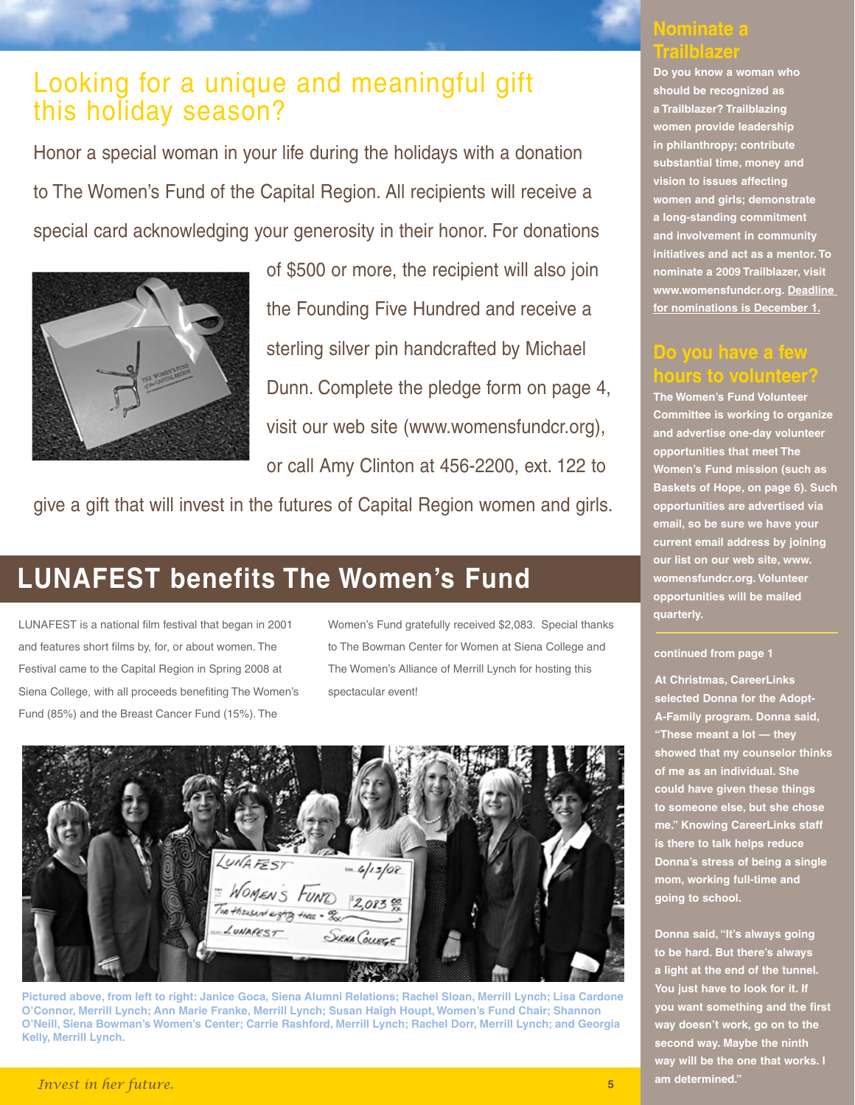# Looking for a unique and meaningful gift this holiday season?

Honor a special woman in your life during the holidays with a donation to The Women's Fund of the Capital Region. All recipients will receive a special card acknowledging your generosity in their honor. For donations



of \$500 or more, the recipient will also join the Founding Five Hundred and receive a sterling silver pin handcrafted by Michael Dunn. Complete the pledge form on page 4, visit our web site (www.womensfundcr.org), or call Amy Clinton at 456-2200, ext. 122 to

give a gift that will invest in the futures of Capital Region women and girls.

# **LUNAFEST benefits The Women's Fund**

LUNAFEST is a national film festival that began in 2001 and features short films by, for, or about women. The Festival came to the Capital Region in Spring 2008 at Siena College, with all proceeds benefiting The Women's Fund (85%) and the Breast Cancer Fund (15%). The

Women's Fund gratefully received \$2,083. Special thanks to The Bowman Center for Women at Siena College and The Women's Alliance of Merrill Lynch for hosting this spectacular event!



**Pictured above, from left to right: Janice Goca, Siena Alumni Relations; Rachel Sloan, Merrill Lynch; Lisa Cardone O'Connor, Merrill Lynch; Ann Marie Franke, Merrill Lynch; Susan Haigh Houpt, Women's Fund Chair; Shannon O'Neill, Siena Bowman's Women's Center; Carrie Rashford, Merrill Lynch; Rachel Dorr, Merrill Lynch; and Georgia Kelly, Merrill Lynch.** 

### **Nominate a Trailblazer**

**Do you know a woman who should be recognized as a Trailblazer? Trailblazing women provide leadership in philanthropy; contribute substantial time, money and vision to issues affecting women and girls; demonstrate a long-standing commitment and involvement in community initiatives and act as a mentor. To nominate a 2009 Trailblazer, visit www.womensfundcr.org. Deadline for nominations is December 1.**

### **Do you have a few hours to volunteer?**

**The Women's Fund Volunteer Committee is working to organize and advertise one-day volunteer opportunities that meet The Women's Fund mission (such as Baskets of Hope, on page 6). Such opportunities are advertised via email, so be sure we have your current email address by joining our list on our web site, www. womensfundcr.org. Volunteer opportunities will be mailed quarterly.**

### **continued from page 1**

**At Christmas, CareerLinks selected Donna for the Adopt-A-Family program. Donna said, "These meant a lot — they showed that my counselor thinks of me as an individual. She could have given these things to someone else, but she chose me." Knowing CareerLinks staff is there to talk helps reduce Donna's stress of being a single mom, working full-time and going to school.**

**Donna said, "It's always going to be hard. But there's always a light at the end of the tunnel. You just have to look for it. If you want something and the first way doesn't work, go on to the second way. Maybe the ninth way will be the one that works. I am determined."**